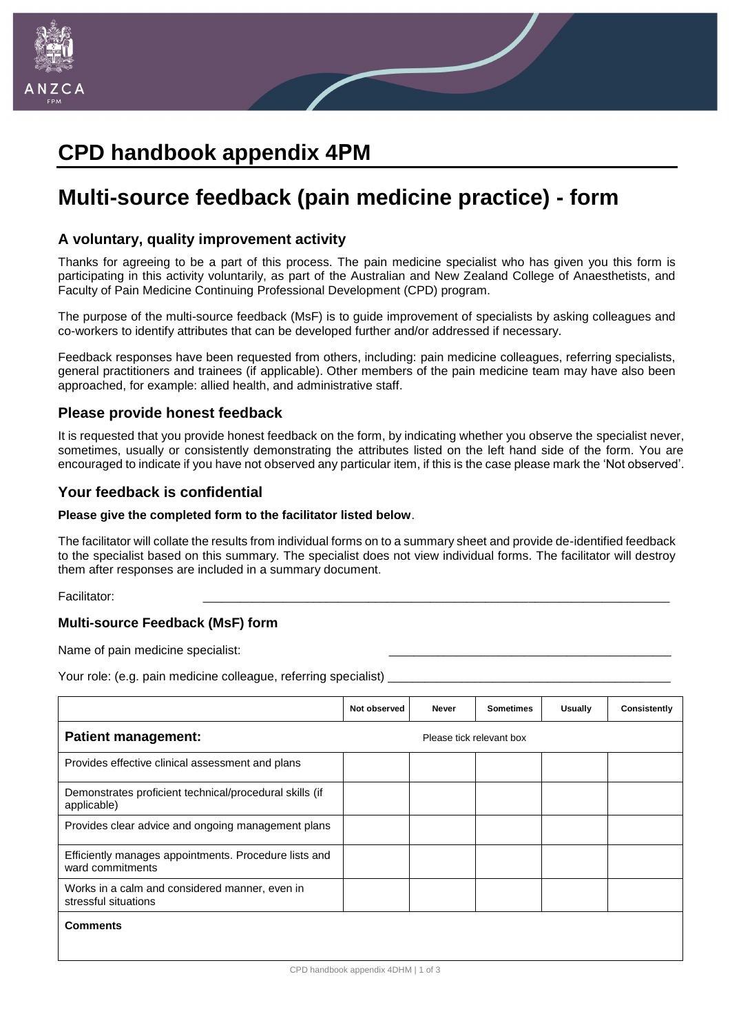

# **CPD handbook appendix 4PM**

# **Multi-source feedback (pain medicine practice) - form**

### **A voluntary, quality improvement activity**

Thanks for agreeing to be a part of this process. The pain medicine specialist who has given you this form is participating in this activity voluntarily, as part of the Australian and New Zealand College of Anaesthetists, and Faculty of Pain Medicine Continuing Professional Development (CPD) program.

The purpose of the multi-source feedback (MsF) is to guide improvement of specialists by asking colleagues and co-workers to identify attributes that can be developed further and/or addressed if necessary.

Feedback responses have been requested from others, including: pain medicine colleagues, referring specialists, general practitioners and trainees (if applicable). Other members of the pain medicine team may have also been approached, for example: allied health, and administrative staff.

# **Please provide honest feedback**

It is requested that you provide honest feedback on the form, by indicating whether you observe the specialist never, sometimes, usually or consistently demonstrating the attributes listed on the left hand side of the form. You are encouraged to indicate if you have not observed any particular item, if this is the case please mark the 'Not observed'.

## **Your feedback is confidential**

#### **Please give the completed form to the facilitator listed below**.

The facilitator will collate the results from individual forms on to a summary sheet and provide de-identified feedback to the specialist based on this summary. The specialist does not view individual forms. The facilitator will destroy them after responses are included in a summary document.

Facilitator: \_\_\_\_\_\_\_\_\_\_\_\_\_\_\_\_\_\_\_\_\_\_\_\_\_\_\_\_\_\_\_\_\_\_\_\_\_\_\_\_\_\_\_\_\_\_\_\_\_\_\_\_\_\_\_\_\_\_\_\_\_\_\_\_\_\_\_\_\_\_\_\_\_\_\_\_

## **Multi-source Feedback (MsF) form**

Name of pain medicine specialist:

Your role: (e.g. pain medicine colleague, referring specialist)

|                                                                           | Not observed             | <b>Never</b> | <b>Sometimes</b> | Usually | Consistently |  |
|---------------------------------------------------------------------------|--------------------------|--------------|------------------|---------|--------------|--|
| <b>Patient management:</b>                                                | Please tick relevant box |              |                  |         |              |  |
| Provides effective clinical assessment and plans                          |                          |              |                  |         |              |  |
| Demonstrates proficient technical/procedural skills (if<br>applicable)    |                          |              |                  |         |              |  |
| Provides clear advice and ongoing management plans                        |                          |              |                  |         |              |  |
| Efficiently manages appointments. Procedure lists and<br>ward commitments |                          |              |                  |         |              |  |
| Works in a calm and considered manner, even in<br>stressful situations    |                          |              |                  |         |              |  |
| <b>Comments</b>                                                           |                          |              |                  |         |              |  |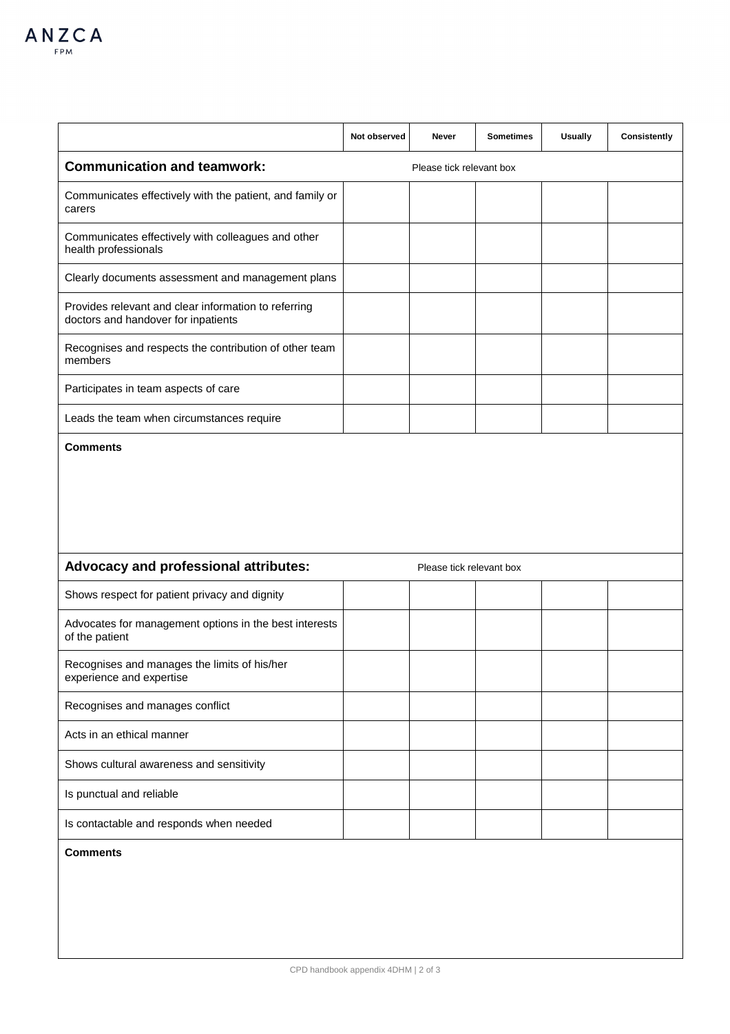|                                                                                             | Not observed | Never                    | <b>Sometimes</b> | <b>Usually</b> | Consistently |  |
|---------------------------------------------------------------------------------------------|--------------|--------------------------|------------------|----------------|--------------|--|
| <b>Communication and teamwork:</b><br>Please tick relevant box                              |              |                          |                  |                |              |  |
| Communicates effectively with the patient, and family or<br>carers                          |              |                          |                  |                |              |  |
| Communicates effectively with colleagues and other<br>health professionals                  |              |                          |                  |                |              |  |
| Clearly documents assessment and management plans                                           |              |                          |                  |                |              |  |
| Provides relevant and clear information to referring<br>doctors and handover for inpatients |              |                          |                  |                |              |  |
| Recognises and respects the contribution of other team<br>members                           |              |                          |                  |                |              |  |
| Participates in team aspects of care                                                        |              |                          |                  |                |              |  |
| Leads the team when circumstances require                                                   |              |                          |                  |                |              |  |
| <b>Comments</b>                                                                             |              |                          |                  |                |              |  |
|                                                                                             |              |                          |                  |                |              |  |
|                                                                                             |              |                          |                  |                |              |  |
|                                                                                             |              |                          |                  |                |              |  |
| Advocacy and professional attributes:                                                       |              | Please tick relevant box |                  |                |              |  |
| Shows respect for patient privacy and dignity                                               |              |                          |                  |                |              |  |
| Advocates for management options in the best interests<br>of the patient                    |              |                          |                  |                |              |  |
| Recognises and manages the limits of his/her<br>experience and expertise                    |              |                          |                  |                |              |  |
| Recognises and manages conflict                                                             |              |                          |                  |                |              |  |
| Acts in an ethical manner                                                                   |              |                          |                  |                |              |  |
| Shows cultural awareness and sensitivity                                                    |              |                          |                  |                |              |  |
| Is punctual and reliable                                                                    |              |                          |                  |                |              |  |
| Is contactable and responds when needed                                                     |              |                          |                  |                |              |  |
| <b>Comments</b>                                                                             |              |                          |                  |                |              |  |